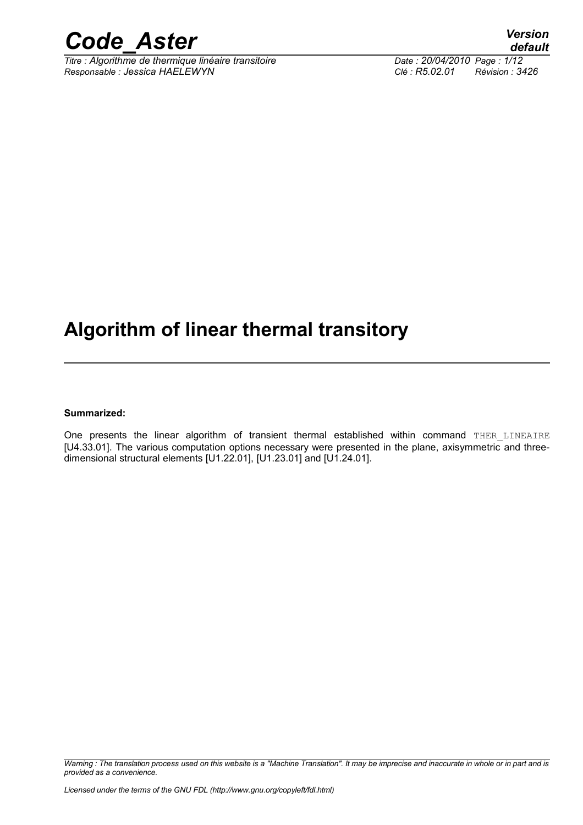

*Titre : Algorithme de thermique linéaire transitoire Date : 20/04/2010 Page : 1/12 Responsable : Jessica HAELEWYN Clé : R5.02.01 Révision : 3426*

# **Algorithm of linear thermal transitory**

#### **Summarized:**

One presents the linear algorithm of transient thermal established within command THER LINEAIRE [U4.33.01]. The various computation options necessary were presented in the plane, axisymmetric and threedimensional structural elements [U1.22.01], [U1.23.01] and [U1.24.01].

*Warning : The translation process used on this website is a "Machine Translation". It may be imprecise and inaccurate in whole or in part and is provided as a convenience.*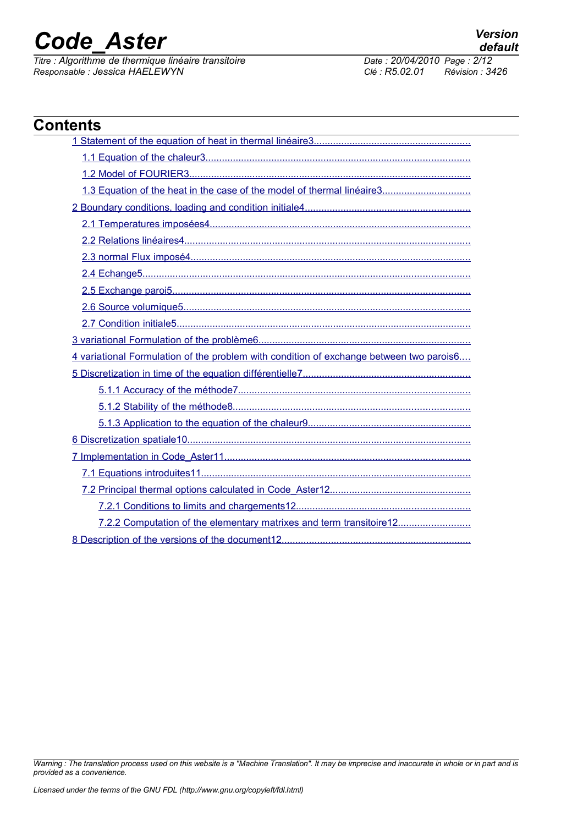*Titre : Algorithme de thermique linéaire transitoire Date : 20/04/2010 Page : 2/12*<br> *Responsable : Jessica HAELEWYN Clé : R5.02.01 Révision : 3426 Responsable : Jessica HAELEWYN Clé : R5.02.01 Révision : 3426*

| <b>Contents</b>                                                                         |  |
|-----------------------------------------------------------------------------------------|--|
|                                                                                         |  |
|                                                                                         |  |
|                                                                                         |  |
|                                                                                         |  |
|                                                                                         |  |
|                                                                                         |  |
|                                                                                         |  |
|                                                                                         |  |
|                                                                                         |  |
|                                                                                         |  |
|                                                                                         |  |
|                                                                                         |  |
|                                                                                         |  |
| 4 variational Formulation of the problem with condition of exchange between two parois6 |  |
|                                                                                         |  |
|                                                                                         |  |
|                                                                                         |  |
|                                                                                         |  |
|                                                                                         |  |
|                                                                                         |  |
|                                                                                         |  |
|                                                                                         |  |
|                                                                                         |  |
| 7.2.2 Computation of the elementary matrixes and term transitoire12                     |  |
|                                                                                         |  |

*Warning : The translation process used on this website is a "Machine Translation". It may be imprecise and inaccurate in whole or in part and is provided as a convenience.*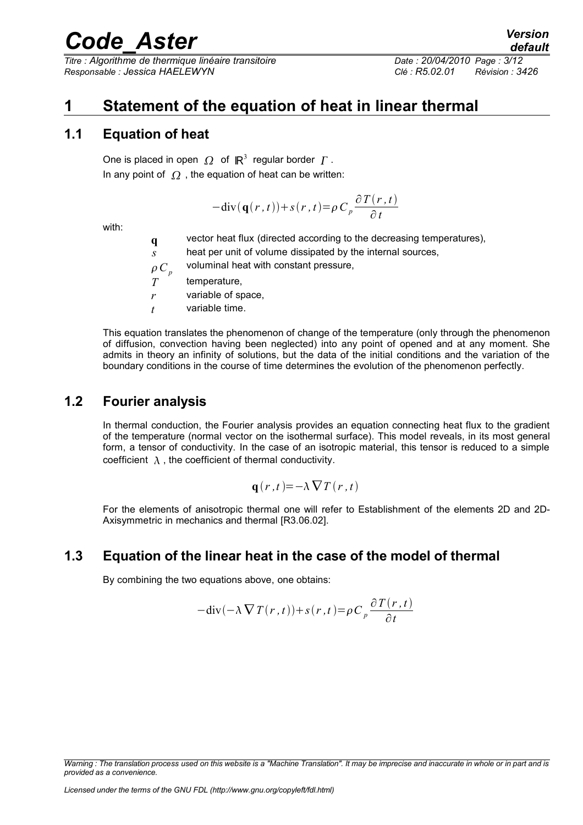*Titre : Algorithme de thermique linéaire transitoire Date : 20/04/2010 Page : 3/12 Responsable : Jessica HAELEWYN Clé : R5.02.01 Révision : 3426*

# <span id="page-2-0"></span>**1 Statement of the equation of heat in linear thermal**

### **1.1 Equation of heat**

<span id="page-2-3"></span>One is placed in open  $\varOmega$  of  $\mathbb{R}^3$  regular border  $\varGamma$  . In any point of  $\Omega$ , the equation of heat can be written:

$$
-div(\mathbf{q}(r,t)) + s(r,t) = \rho C_p \frac{\partial T(r,t)}{\partial t}
$$

with:

**q** vector heat flux (directed according to the decreasing temperatures),

*s* heat per unit of volume dissipated by the internal sources,

 $\rho C_p$ voluminal heat with constant pressure,

*T* temperature,

*r* variable of space,

*t* variable time.

This equation translates the phenomenon of change of the temperature (only through the phenomenon of diffusion, convection having been neglected) into any point of opened and at any moment. She admits in theory an infinity of solutions, but the data of the initial conditions and the variation of the boundary conditions in the course of time determines the evolution of the phenomenon perfectly.

### **1.2 Fourier analysis**

<span id="page-2-2"></span>In thermal conduction, the Fourier analysis provides an equation connecting heat flux to the gradient of the temperature (normal vector on the isothermal surface). This model reveals, in its most general form, a tensor of conductivity. In the case of an isotropic material, this tensor is reduced to a simple coefficient  $\lambda$ , the coefficient of thermal conductivity.

$$
\mathbf{q}(r,t) = -\lambda \nabla T(r,t)
$$

For the elements of anisotropic thermal one will refer to Establishment of the elements 2D and 2D-Axisymmetric in mechanics and thermal [R3.06.02].

### **1.3 Equation of the linear heat in the case of the model of thermal**

<span id="page-2-1"></span>By combining the two equations above, one obtains:

$$
-div(-\lambda \nabla T(r,t)) + s(r,t) = \rho C_p \frac{\partial T(r,t)}{\partial t}
$$

*Warning : The translation process used on this website is a "Machine Translation". It may be imprecise and inaccurate in whole or in part and is provided as a convenience.*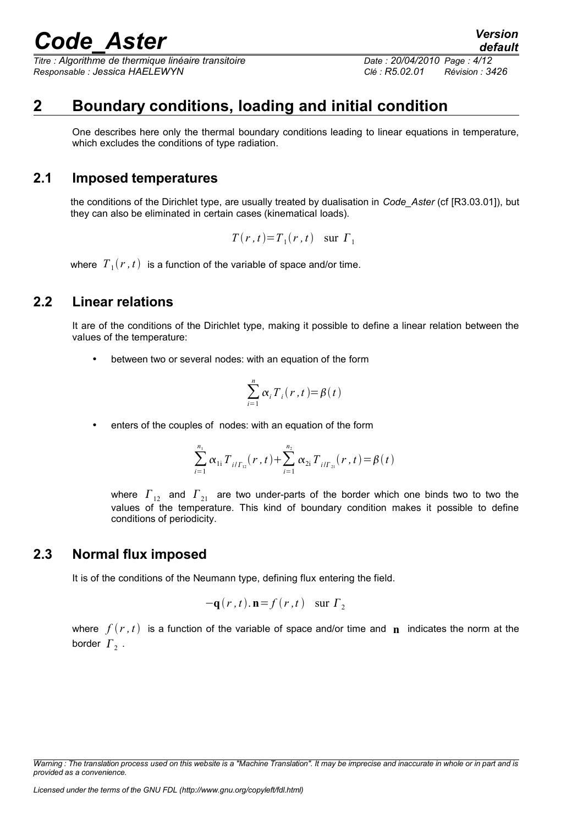*Titre : Algorithme de thermique linéaire transitoire Date : 20/04/2010 Page : 4/12 Responsable : Jessica HAELEWYN Clé : R5.02.01 Révision : 3426*

### **2 Boundary conditions, loading and initial condition**

<span id="page-3-3"></span>One describes here only the thermal boundary conditions leading to linear equations in temperature, which excludes the conditions of type radiation.

### **2.1 Imposed temperatures**

<span id="page-3-2"></span>the conditions of the Dirichlet type, are usually treated by dualisation in *Code\_Aster* (cf [R3.03.01]), but they can also be eliminated in certain cases (kinematical loads).

$$
T(r, t) = T_1(r, t) \quad \text{sur } \Gamma_1
$$

where  $\left\vert T_{\pm }(r\,,t)\right\vert$  is a function of the variable of space and/or time.

### **2.2 Linear relations**

<span id="page-3-1"></span>It are of the conditions of the Dirichlet type, making it possible to define a linear relation between the values of the temperature:

• between two or several nodes: with an equation of the form

$$
\sum_{i=1}^{n} \alpha_i T_i(r,t) = \beta(t)
$$

enters of the couples of nodes: with an equation of the form

$$
\sum_{i=1}^{n_1} \alpha_{1i} T_{i/\Gamma_{12}}(r,t) + \sum_{i=1}^{n_2} \alpha_{2i} T_{i/\Gamma_{21}}(r,t) = \beta(t)
$$

where  $\Gamma_{12}$  and  $\Gamma_{21}$  are two under-parts of the border which one binds two to two the values of the temperature. This kind of boundary condition makes it possible to define conditions of periodicity.

### **2.3 Normal flux imposed**

<span id="page-3-0"></span>It is of the conditions of the Neumann type, defining flux entering the field.

$$
-\mathbf{q}(r,t).\mathbf{n} = f(r,t) \quad \text{sur } \Gamma_2
$$

where  $f(r, t)$  is a function of the variable of space and/or time and **n** indicates the norm at the border  $\Gamma_2$  .

*Warning : The translation process used on this website is a "Machine Translation". It may be imprecise and inaccurate in whole or in part and is provided as a convenience.*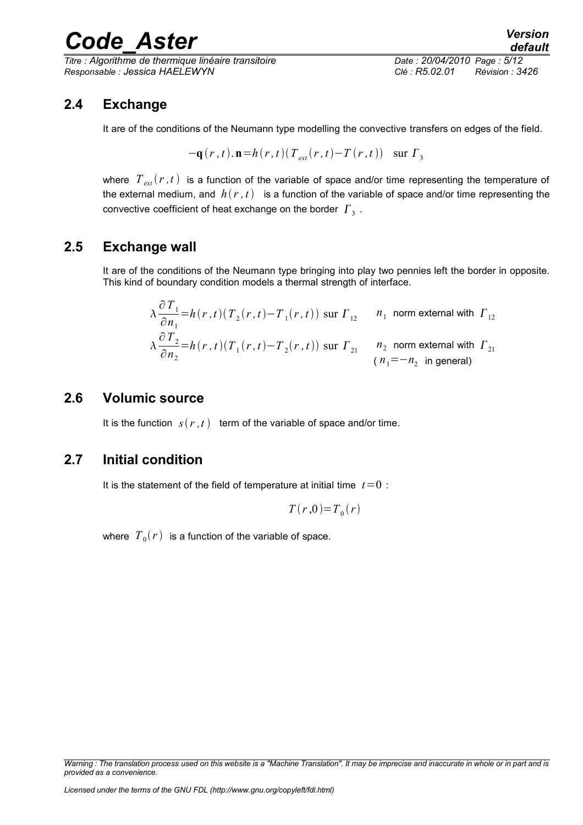*Titre : Algorithme de thermique linéaire transitoire Date : 20/04/2010 Page : 5/12 Responsable : Jessica HAELEWYN Clé : R5.02.01 Révision : 3426*

### **2.4 Exchange**

<span id="page-4-3"></span>It are of the conditions of the Neumann type modelling the convective transfers on edges of the field.

$$
-\mathbf{q}(r,t).\mathbf{n} = h(r,t)(T_{ext}(r,t) - T(r,t)) \quad \text{sur } \Gamma_3
$$

where  $T_{ext}(r,t)$  is a function of the variable of space and/or time representing the temperature of the external medium, and  $h(r, t)$  is a function of the variable of space and/or time representing the convective coefficient of heat exchange on the border  $\vert \varGamma_{_3} \vert$ .

### **2.5 Exchange wall**

∂ *T*<sup>1</sup>

<span id="page-4-2"></span>It are of the conditions of the Neumann type bringing into play two pennies left the border in opposite. This kind of boundary condition models a thermal strength of interface.

$$
\lambda \frac{\partial T_1}{\partial n_1} = h(r, t) (T_2(r, t) - T_1(r, t)) \text{ sur } \Gamma_{12} \qquad n_1 \text{ norm external with } \Gamma_{12}
$$
  

$$
\lambda \frac{\partial T_2}{\partial n_2} = h(r, t) (T_1(r, t) - T_2(r, t)) \text{ sur } \Gamma_{21} \qquad n_2 \text{ norm external with } \Gamma_{21}
$$
  

$$
(n_1 = -n_2 \text{ in general})
$$

### **2.6 Volumic source**

<span id="page-4-1"></span>It is the function  $s(r, t)$  term of the variable of space and/or time.

### **2.7 Initial condition**

<span id="page-4-0"></span>It is the statement of the field of temperature at initial time  $t=0$ :

$$
T(r,0)=T_0(r)
$$

where  $\;T_{\,0}(r)\;$  is a function of the variable of space.

*Warning : The translation process used on this website is a "Machine Translation". It may be imprecise and inaccurate in whole or in part and is provided as a convenience.*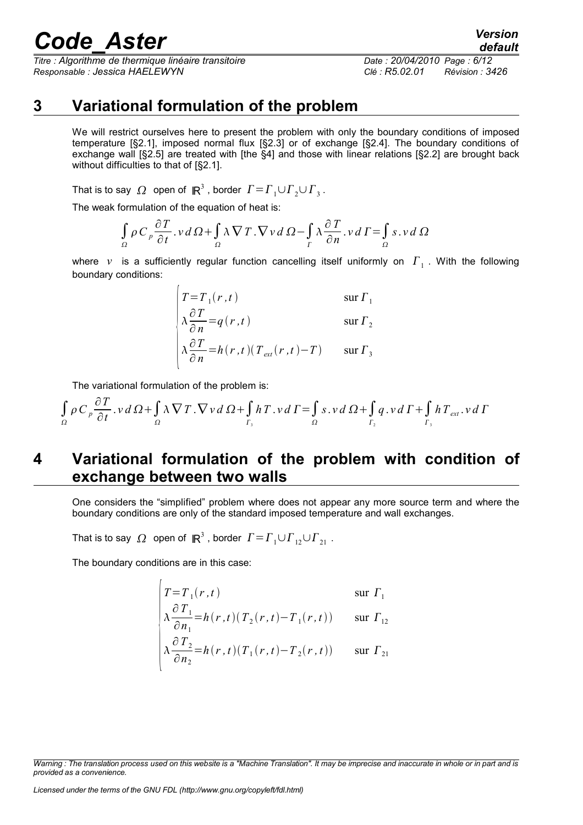*Titre : Algorithme de thermique linéaire transitoire Date : 20/04/2010 Page : 6/12 Responsable : Jessica HAELEWYN Clé : R5.02.01 Révision : 3426*

## **3 Variational formulation of the problem**

<span id="page-5-1"></span>We will restrict ourselves here to present the problem with only the boundary conditions of imposed temperature [§2.1], imposed normal flux [§2.3] or of exchange [§2.4]. The boundary conditions of exchange wall [§2.5] are treated with [the §4] and those with linear relations [§2.2] are brought back without difficulties to that of [§2.1].

That is to say  $\varOmega$  open of  $\,\mathbb{R}^3$  , border  $\,\varGamma\!=\!\varGamma_1 \!\cup\! \varGamma_2 \!\cup\! \varGamma_3$  .

The weak formulation of the equation of heat is:

$$
\int_{\Omega} \rho C_p \frac{\partial T}{\partial t} \cdot v \, d\Omega + \int_{\Omega} \lambda \nabla T \cdot \nabla v \, d\Omega - \int_{\Gamma} \lambda \frac{\partial T}{\partial n} \cdot v \, d\Gamma = \int_{\Omega} s \cdot v \, d\Omega
$$

where v is a sufficiently regular function cancelling itself uniformly on  $\varGamma_1$  . With the following boundary conditions:

$$
\begin{vmatrix}\nT = T_1(r, t) & \text{sur } \Gamma_1 \\
\lambda \frac{\partial T}{\partial n} = q(r, t) & \text{sur } \Gamma_2 \\
\lambda \frac{\partial T}{\partial n} = h(r, t)(T_{ext}(r, t) - T) & \text{sur } \Gamma_3\n\end{vmatrix}
$$

The variational formulation of the problem is:

∂*T*

$$
\int_{\Omega} \rho C_p \frac{\partial T}{\partial t} \cdot v \, d\Omega + \int_{\Omega} \lambda \nabla T \cdot \nabla v \, d\Omega + \int_{\Gamma_3} h \, T \cdot v \, d\Gamma = \int_{\Omega} s \cdot v \, d\Omega + \int_{\Gamma_2} q \cdot v \, d\Gamma + \int_{\Gamma_3} h \, T_{ext} \cdot v \, d\Gamma
$$

# <span id="page-5-0"></span>**4 Variational formulation of the problem with condition of exchange between two walls**

One considers the "simplified" problem where does not appear any more source term and where the boundary conditions are only of the standard imposed temperature and wall exchanges.

That is to say  $\varOmega$  open of  $\,\mathsf{I\!R}^3$  , border  $\,\varGamma\!=\!\varGamma_1 \cup \varGamma_{12} \cup \varGamma_{21}$  .

The boundary conditions are in this case:

$$
\begin{cases}\nT = T_1(r, t) & \text{sur } \Gamma_1 \\
\lambda \frac{\partial T_1}{\partial n_1} = h(r, t) (T_2(r, t) - T_1(r, t)) & \text{sur } \Gamma_{12} \\
\lambda \frac{\partial T_2}{\partial n_2} = h(r, t) (T_1(r, t) - T_2(r, t)) & \text{sur } \Gamma_{21}\n\end{cases}
$$

*Warning : The translation process used on this website is a "Machine Translation". It may be imprecise and inaccurate in whole or in part and is provided as a convenience.*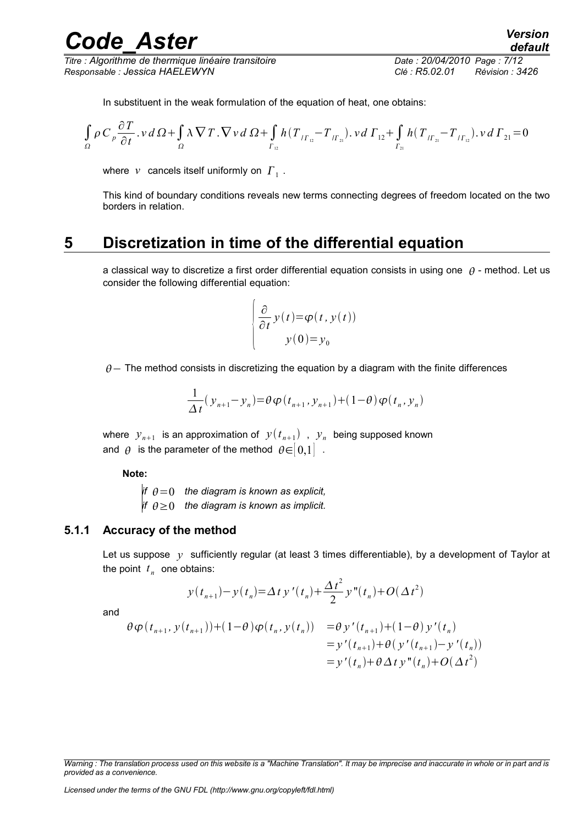*Titre : Algorithme de thermique linéaire transitoire Date : 20/04/2010 Page : 7/12 Responsable : Jessica HAELEWYN Clé : R5.02.01 Révision : 3426*

In substituent in the weak formulation of the equation of heat, one obtains:

$$
\int_{\Omega} \rho \, C_{p} \frac{\partial T}{\partial t} \cdot v \, d \Omega + \int_{\Omega} \lambda \, \nabla \, T \cdot \nabla \, v \, d \Omega + \int_{\Gamma_{12}} h \left( T_{I_{\Gamma_{12}}} - T_{I_{\Gamma_{21}}} \right) \cdot v \, d \Gamma_{12} + \int_{\Gamma_{21}} h \left( T_{I_{\Gamma_{21}}} - T_{I_{\Gamma_{12}}} \right) \cdot v \, d \Gamma_{21} = 0
$$

where  $|v|$  cancels itself uniformly on  $|{\varGamma}_1|$ .

This kind of boundary conditions reveals new terms connecting degrees of freedom located on the two borders in relation.

### **5 Discretization in time of the differential equation**

<span id="page-6-1"></span>a classical way to discretize a first order differential equation consists in using one  $\theta$  - method. Let us consider the following differential equation:

$$
\frac{\partial}{\partial t} y(t) = \varphi(t, y(t))
$$
  
 
$$
y(0) = y_0
$$

 $\theta$  – The method consists in discretizing the equation by a diagram with the finite differences

$$
\frac{1}{\Delta t} \left( y_{n+1} - y_n \right) = \theta \varphi \left( t_{n+1}, y_{n+1} \right) + \left( 1 - \theta \right) \varphi \left( t_n, y_n \right)
$$

where  $y_{n+1}$  is an approximation of  $y(t_{n+1})$  ,  $y_n$  being supposed known and  $\theta$  is the parameter of the method  $\theta \in ]0,1]$ .

**Note:**

*if*  $\theta = 0$  the diagram is known as explicit, *if*  $\theta \ge 0$  the diagram is known as implicit.

#### **5.1.1 Accuracy of the method**

<span id="page-6-0"></span>Let us suppose y sufficiently regular (at least 3 times differentiable), by a development of Taylor at the point  $t_n$  one obtains:

$$
y(t_{n+1}) - y(t_n) = \Delta t y'(t_n) + \frac{\Delta t^2}{2} y''(t_n) + O(\Delta t^2)
$$

and

$$
\begin{aligned} \theta \varphi(t_{n+1}, y(t_{n+1})) + (1 - \theta) \varphi(t_n, y(t_n)) &= \theta \, y'(t_{n+1}) + (1 - \theta) \, y'(t_n) \\ &= y'(t_{n+1}) + \theta \big( \, y'(t_{n+1}) - y'(t_n) \big) \\ &= y'(t_n) + \theta \, \Delta \, t \, y''(t_n) + O(\Delta t^2) \end{aligned}
$$

*Warning : The translation process used on this website is a "Machine Translation". It may be imprecise and inaccurate in whole or in part and is provided as a convenience.*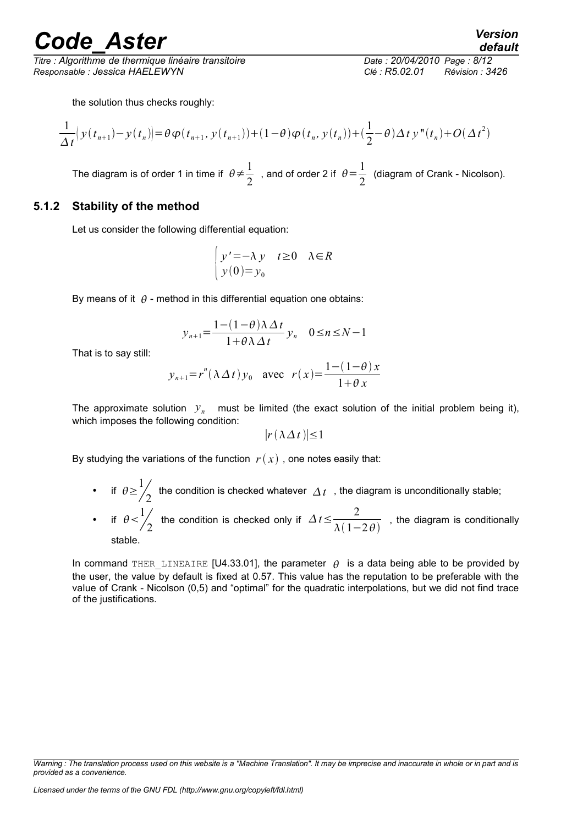*Titre : Algorithme de thermique linéaire transitoire Date : 20/04/2010 Page : 8/12 Responsable : Jessica HAELEWYN Clé : R5.02.01 Révision : 3426*

*default*

the solution thus checks roughly:

$$
\frac{1}{\Delta t} \Big( y(t_{n+1}) - y(t_n) \Big) = \theta \varphi(t_{n+1}, y(t_{n+1})) + (1 - \theta) \varphi(t_n, y(t_n)) + (\frac{1}{2} - \theta) \Delta t y''(t_n) + O(\Delta t^2)
$$

The diagram is of order 1 in time if  $\theta \neq \frac{1}{2}$ 2 , and of order 2 if  $\theta = \frac{1}{2}$  $\frac{1}{2}$  (diagram of Crank - Nicolson).

#### **5.1.2 Stability of the method**

<span id="page-7-0"></span>Let us consider the following differential equation:

$$
\begin{cases} y' = -\lambda y & t \ge 0 \quad \lambda \in R \\ y(0) = y_0 \end{cases}
$$

By means of it  $\theta$  - method in this differential equation one obtains:

$$
y_{n+1} = \frac{1 - (1 - \theta)\lambda \Delta t}{1 + \theta\lambda \Delta t} y_n \quad 0 \le n \le N - 1
$$

That is to say still:

$$
y_{n+1} = r^n (\lambda \Delta t) y_0
$$
 avec  $r(x) = \frac{1 - (1 - \theta)x}{1 + \theta x}$ 

The approximate solution  $y_n$  must be limited (the exact solution of the initial problem being it), which imposes the following condition:

$$
|r(\lambda \Delta t)| \leq 1
$$

By studying the variations of the function  $r(x)$ , one notes easily that:

• if  $\theta \geq \frac{1}{4}$  $\frac{1}{2}$  the condition is checked whatever  $\varDelta\,t\,$  , the diagram is unconditionally stable; • if  $\theta < \frac{1}{4}$ 2 the condition is checked only if  $\Delta t \leq \frac{2}{\sqrt{t}}$  $\overline{\lambda(1-2\theta)}$ , the diagram is conditionally stable.

In command THER LINEAIRE [U4.33.01], the parameter  $\theta$  is a data being able to be provided by the user, the value by default is fixed at 0.57. This value has the reputation to be preferable with the value of Crank - Nicolson (0,5) and "optimal" for the quadratic interpolations, but we did not find trace of the justifications.

*Warning : The translation process used on this website is a "Machine Translation". It may be imprecise and inaccurate in whole or in part and is provided as a convenience.*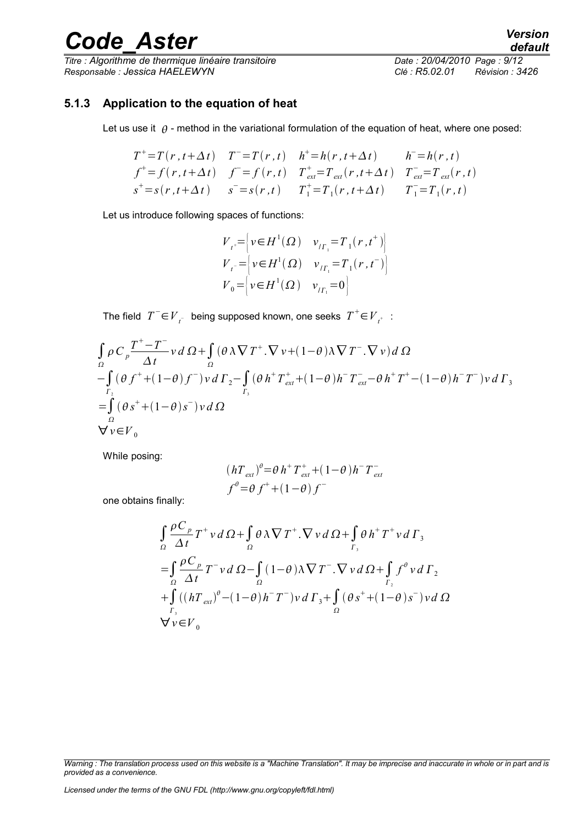*Titre : Algorithme de thermique linéaire transitoire Date : 20/04/2010 Page : 9/12 Responsable : Jessica HAELEWYN Clé : R5.02.01 Révision : 3426*

*default*

#### **5.1.3 Application to the equation of heat**

<span id="page-8-0"></span>Let us use it  $\theta$  - method in the variational formulation of the equation of heat, where one posed:

$$
T^{+} = T(r, t + \Delta t) \t T^{-} = T(r, t) \t h^{+} = h(r, t + \Delta t) \t h^{-} = h(r, t)
$$
  
\n
$$
f^{+} = f(r, t + \Delta t) \t f^{-} = f(r, t) \t T_{ext}^{+} = T_{ext}(r, t + \Delta t) \t T_{ext}^{-} = T_{ext}(r, t)
$$
  
\n
$$
s^{+} = s(r, t + \Delta t) \t s^{-} = s(r, t) \t T_{1}^{+} = T_{1}(r, t + \Delta t) \t T_{1}^{-} = T_{1}(r, t)
$$

Let us introduce following spaces of functions:

$$
V_{t^*} = \begin{cases} v \in H^1(\Omega) & v_{t^*} = T_1(r, t^+) \\ V_{t^-} = \begin{cases} v \in H^1(\Omega) & v_{t^*} = T_1(r, t^-) \\ V_0 = \begin{cases} v \in H^1(\Omega) & v_{t^*} = 0 \end{cases} \end{cases}
$$

 $\overline{T}$ he field  $T^-$ ∈ $\overline{V}_{t^-}$  being supposed known, one seeks  $\overline{T}^+$ ∈ $\overline{V}_{t^+}$  :

$$
\int_{\Omega} \rho C_p \frac{T^+-T^-}{\Delta t} v d\Omega + \int_{\Omega} (\theta \lambda \nabla T^+ \cdot \nabla v + (1-\theta) \lambda \nabla T^- \cdot \nabla v) d\Omega
$$
  
\n
$$
-\int_{\Gamma_2} (\theta f^+ + (1-\theta) f^-) v d\Gamma_2 - \int_{\Gamma_3} (\theta h^+ T^+_{ext} + (1-\theta) h^- T^-_{ext} - \theta h^+ T^+ - (1-\theta) h^- T^-) v d\Gamma_3
$$
  
\n
$$
= \int_{\Omega} (\theta s^+ + (1-\theta) s^-) v d\Omega
$$
  
\n
$$
\nabla v \in V_0
$$

While posing:

$$
(hT_{ext})^{\theta} = \theta h^+ T_{ext}^+ + (1 - \theta)h^- T_{ext}^-
$$
  

$$
f^{\theta} = \theta f^+ + (1 - \theta) f^-
$$

one obtains finally:

$$
\int_{\Omega} \frac{\rho C_p}{\Delta t} T^+ v \, d\Omega + \int_{\Omega} \theta \, \lambda \nabla T^+ \cdot \nabla v \, d\Omega + \int_{\Gamma_3} \theta \, h^+ T^+ v \, d\Gamma_3
$$
\n
$$
= \int_{\Omega} \frac{\rho C_p}{\Delta t} T^- v \, d\Omega - \int_{\Omega} (1 - \theta) \lambda \nabla T^- \cdot \nabla v \, d\Omega + \int_{\Gamma_2} f^{\theta} v \, d\Gamma_2
$$
\n
$$
+ \int_{\Gamma_3} ((hT_{ext})^{\theta} - (1 - \theta) h^- T^-) v \, d\Gamma_3 + \int_{\Omega} (\theta s^+ + (1 - \theta) s^-) v \, d\Omega
$$
\n
$$
\nabla v \in V_0
$$

*Warning : The translation process used on this website is a "Machine Translation". It may be imprecise and inaccurate in whole or in part and is provided as a convenience.*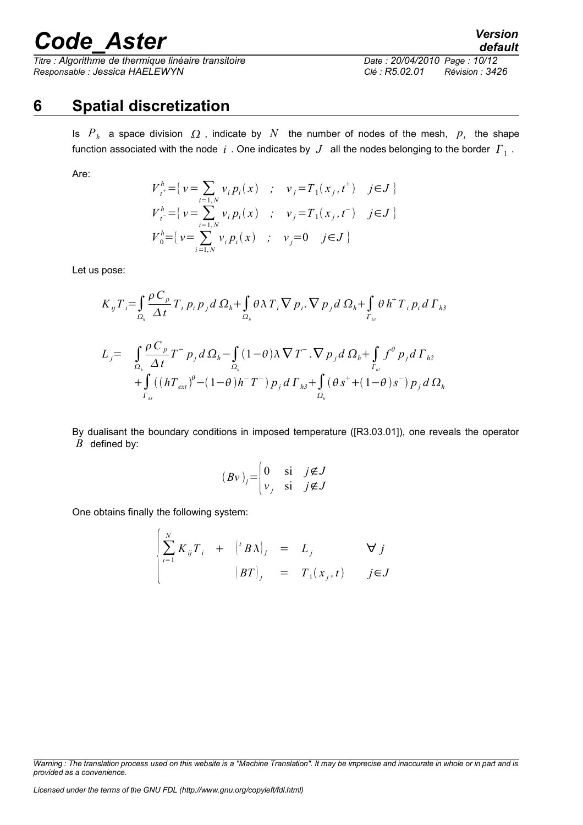*Titre : Algorithme de thermique linéaire transitoire Date : 20/04/2010 Page : 10/12 Responsable : Jessica HAELEWYN Clé : R5.02.01 Révision : 3426*

*default*

# **6 Spatial discretization**

<span id="page-9-0"></span>Is  $P_h$  a space division  $\Omega$ , indicate by  $N$  the number of nodes of the mesh,  $p_i$  the shape function associated with the node  $|i\>$  . One indicates by  $|J\>$  all the nodes belonging to the border  $|I\>_{_1}$  .

Are:

$$
V_{t}^{h} = \{ v = \sum_{i=1,N} v_{i} p_{i}(x) ; v_{j} = T_{1}(x_{j}, t^{+}) \quad j \in J \}
$$
  
\n
$$
V_{t}^{h} = \{ v = \sum_{i=1,N} v_{i} p_{i}(x) ; v_{j} = T_{1}(x_{j}, t^{-}) \quad j \in J \}
$$
  
\n
$$
V_{0}^{h} = \{ v = \sum_{i=1,N} v_{i} p_{i}(x) ; v_{j} = 0 \quad j \in J \}
$$

Let us pose:

$$
K_{ij}T_{i} = \int_{\Omega_{h}} \frac{\rho C_{p}}{\Delta t} T_{i} p_{i} p_{j} d \Omega_{h} + \int_{\Omega_{h}} \theta \lambda T_{i} \nabla p_{i} \cdot \nabla p_{j} d \Omega_{h} + \int_{\Gamma_{h3}} \theta h^{+} T_{i} p_{i} d \Gamma_{h3}
$$
  
\n
$$
L_{j} = \int_{\Omega_{h}} \frac{\rho C_{p}}{\Delta t} T^{-} p_{j} d \Omega_{h} - \int_{\Omega_{h}} (1 - \theta) \lambda \nabla T^{-} \cdot \nabla p_{j} d \Omega_{h} + \int_{\Gamma_{h2}} f^{\theta} p_{j} d \Gamma_{h2}
$$
  
\n
$$
+ \int_{\Gamma_{h3}} ((hT_{ext})^{\theta} - (1 - \theta) h^{-} T^{-}) p_{j} d \Gamma_{h3} + \int_{\Omega_{h}} (\theta s^{+} + (1 - \theta) s^{-}) p_{j} d \Omega_{h}
$$

By dualisant the boundary conditions in imposed temperature ([R3.03.01]), one reveals the operator *B* defined by:

$$
(Bv)_j = \begin{cases} 0 & \text{si} \quad j \notin J \\ v_j & \text{si} \quad j \notin J \end{cases}
$$

One obtains finally the following system:  $\overline{1}$ 

$$
\begin{cases}\n\sum_{i=1}^{N} K_{ij} T_i + ({}^{t}B\lambda)_j = L_j & \forall j \\
\left(BT\right)_j = T_1(x_j, t) & j \in J\n\end{cases}
$$

*Licensed under the terms of the GNU FDL (http://www.gnu.org/copyleft/fdl.html)*

*Warning : The translation process used on this website is a "Machine Translation". It may be imprecise and inaccurate in whole or in part and is provided as a convenience.*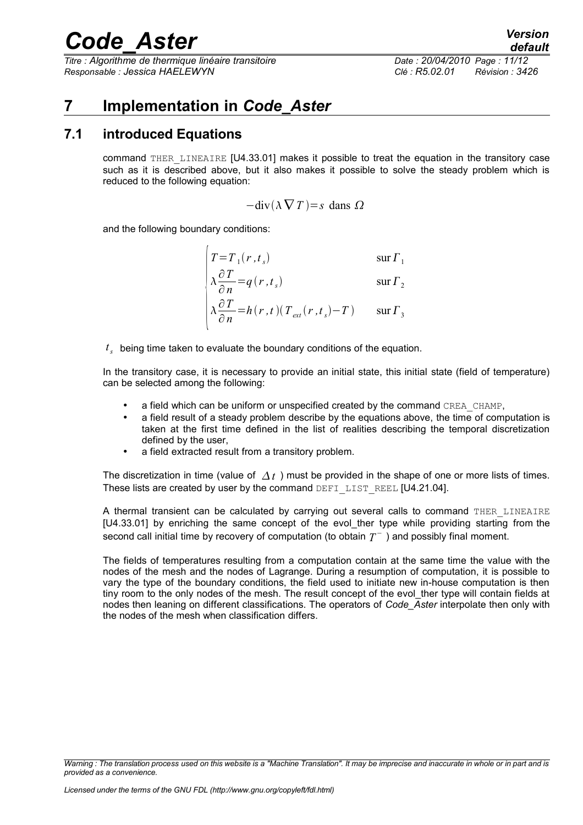*Titre : Algorithme de thermique linéaire transitoire Date : 20/04/2010 Page : 11/12 Responsable : Jessica HAELEWYN Clé : R5.02.01 Révision : 3426*

*default*

# <span id="page-10-1"></span>**7 Implementation in** *Code\_Aster*

### **7.1 introduced Equations**

<span id="page-10-0"></span>command THER\_LINEAIRE [U4.33.01] makes it possible to treat the equation in the transitory case such as it is described above, but it also makes it possible to solve the steady problem which is reduced to the following equation:

$$
-div(\lambda \nabla T) = s \text{ dans } \Omega
$$

and the following boundary conditions:

$$
\begin{cases}\nT = T_1(r, t_s) & \text{sur } \Gamma_1 \\
\lambda \frac{\partial T}{\partial r} = q(r, t_s) & \text{sur } \Gamma_2\n\end{cases}
$$

$$
\begin{cases}\n\hat{\partial} n & \text{and } \frac{1}{2} \\
\lambda \frac{\partial T}{\partial n} = h(r, t) (T_{ext}(r, t_s) - T) & \text{sur } \Gamma_3\n\end{cases}
$$

*t s* being time taken to evaluate the boundary conditions of the equation.

In the transitory case, it is necessary to provide an initial state, this initial state (field of temperature) can be selected among the following:

- a field which can be uniform or unspecified created by the command CREA\_CHAMP,
- a field result of a steady problem describe by the equations above, the time of computation is taken at the first time defined in the list of realities describing the temporal discretization defined by the user,
- a field extracted result from a transitory problem.

The discretization in time (value of  $\Delta t$ ) must be provided in the shape of one or more lists of times. These lists are created by user by the command DEFI\_LIST\_REEL [U4.21.04].

A thermal transient can be calculated by carrying out several calls to command THER LINEAIRE [U4.33.01] by enriching the same concept of the evol ther type while providing starting from the second call initial time by recovery of computation (to obtain  $\overline{T}^{-}$  ) and possibly final moment.

The fields of temperatures resulting from a computation contain at the same time the value with the nodes of the mesh and the nodes of Lagrange. During a resumption of computation, it is possible to vary the type of the boundary conditions, the field used to initiate new in-house computation is then tiny room to the only nodes of the mesh. The result concept of the evol ther type will contain fields at nodes then leaning on different classifications. The operators of *Code\_Aster* interpolate then only with the nodes of the mesh when classification differs.

*Warning : The translation process used on this website is a "Machine Translation". It may be imprecise and inaccurate in whole or in part and is provided as a convenience.*